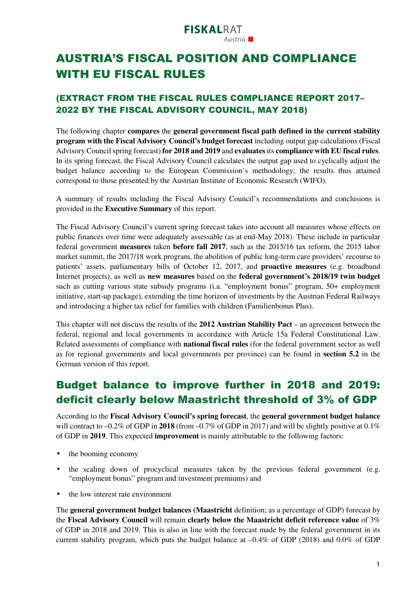# AUSTRIA'S FISCAL POSITION AND COMPLIANCE WITH EU FISCAL RULES

### (EXTRACT FROM THE FISCAL RULES COMPLIANCE REPORT 2017– 2022 BY THE FISCAL ADVISORY COUNCIL, MAY 2018)

The following chapter **compares** the **general government fiscal path defined in the current stability program with the Fiscal Advisory Council's budget forecast** including output gap calculations (Fiscal Advisory Council spring forecast) **for 2018 and 2019** and **evaluates** its **compliance with EU fiscal rules**. In its spring forecast, the Fiscal Advisory Council calculates the output gap used to cyclically adjust the budget balance according to the European Commission's methodology; the results thus attained correspond to those presented by the Austrian Institute of Economic Research (WIFO).

A summary of results including the Fiscal Advisory Council's recommendations and conclusions is provided in the **Executive Summary** of this report.

The Fiscal Advisory Council's current spring forecast takes into account all measures whose effects on public finances over time were adequately assessable (as at end-May 2018). These include in particular federal government **measures** taken **before fall 2017**, such as the 2015/16 tax reform, the 2015 labor market summit, the 2017/18 work program, the abolition of public long-term care providers' recourse to patients' assets, parliamentary bills of October 12, 2017, and **proactive measures** (e.g. broadband Internet projects), as well as **new measures** based on the **federal government's 2018/19 twin budget** such as cutting various state subsidy programs (i.a. "employment bonus" program, 50+ employment initiative, start-up package), extending the time horizon of investments by the Austrian Federal Railways and introducing a higher tax relief for families with children (Familienbonus Plus).

This chapter will not discuss the results of the **2012 Austrian Stability Pact** – an agreement between the federal, regional and local governments in accordance with Article 15a Federal Constitutional Law. Related assessments of compliance with **national fiscal rules** (for the federal government sector as well as for regional governments and local governments per province) can be found in **section 5.2** in the German version of this report.

## Budget balance to improve further in 2018 and 2019: deficit clearly below Maastricht threshold of 3% of GDP

According to the **Fiscal Advisory Council's spring forecast**, the **general government budget balance** will contract to  $-0.2\%$  of GDP in 2018 (from  $-0.7\%$  of GDP in 2017) and will be slightly positive at 0.1% of GDP in **2019**. This expected **improvement** is mainly attributable to the following factors:

- the booming economy
- the scaling down of procyclical measures taken by the previous federal government (e.g. "employment bonus" program and investment premiums) and
- the low interest rate environment

The **general government budget balances (Maastricht** definition; as a percentage of GDP) forecast by the **Fiscal Advisory Council** will remain **clearly below the Maastricht deficit reference value** of 3% of GDP in 2018 and 2019. This is also in line with the forecast made by the federal government in its current stability program, which puts the budget balance at  $-0.4\%$  of GDP (2018) and 0.0% of GDP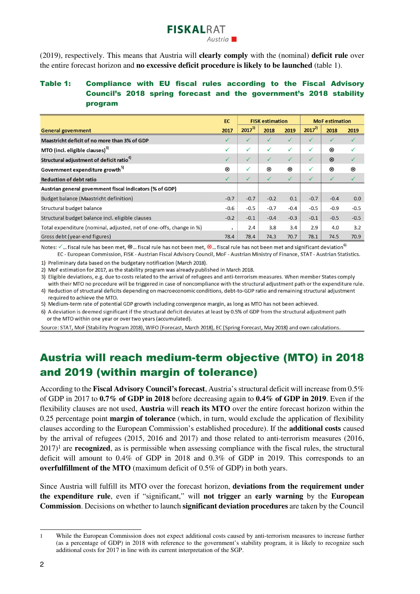#### (2019), respectively. This means that Austria will **clearly comply** with the (nominal) **deficit rule** over the entire forecast horizon and **no excessive deficit procedure is likely to be launched** (table 1).

**FISKALRAT** 

#### Table 1: Compliance with EU fiscal rules according to the Fiscal Advisory Council's 2018 spring forecast and the government's 2018 stability program

|                                                                     | <b>EC</b>    | <b>FISK estimation</b> |              |                | <b>MoF</b> estimation |             |        |
|---------------------------------------------------------------------|--------------|------------------------|--------------|----------------|-----------------------|-------------|--------|
| <b>General government</b>                                           | 2017         | $2017^{1}$             | 2018         | 2019           | $2017^{2}$            | 2018        | 2019   |
| Maastricht deficit of no more than 3% of GDP                        |              | ✓                      |              | ✓              | $\checkmark$          |             |        |
| MTO (incl. eligible clauses) <sup>3)</sup>                          | $\checkmark$ | $\checkmark$           | ✓            | $\checkmark$   | $\checkmark$          | $^{\circ}$  |        |
| Structural adjustment of deficit ratio <sup>4)</sup>                | ✓            | ✓                      | $\checkmark$ | $\checkmark$   | $\checkmark$          | $\circledR$ |        |
| Government expenditure growth <sup>5)</sup>                         | ⊗            | ✓                      | ⊗            | $^{\circledR}$ | $\checkmark$          | ⊗           | ⊗      |
| <b>Reduction of debt ratio</b>                                      |              | ✓                      | $\checkmark$ | $\checkmark$   | $\checkmark$          | ✓           | ✓      |
| Austrian general government fiscal indicators (% of GDP)            |              |                        |              |                |                       |             |        |
| Budget balance (Maastricht definition)                              | $-0.7$       | $-0.7$                 | $-0.2$       | 0.1            | $-0.7$                | $-0.4$      | 0.0    |
| Structural budget balance                                           | $-0.6$       | $-0.5$                 | $-0.7$       | $-0.4$         | $-0.5$                | $-0.9$      | $-0.5$ |
| Structural budget balance incl. eligible clauses                    | $-0.2$       | $-0.1$                 | $-0.4$       | $-0.3$         | $-0.1$                | $-0.5$      | $-0.5$ |
| Total expenditure (nominal, adjusted, net of one-offs, change in %) | $\cdot$      | 2.4                    | 3.8          | 3.4            | 2.9                   | 4.0         | 3.2    |
| Gross debt (year-end figures)                                       | 78.4         | 78.4                   | 74.3         | 70.7           | 78.1                  | 74.5        | 70.9   |

Notes:  $\checkmark$  ... fiscal rule has been met,  $\otimes$  ... fiscal rule has not been met,  $\otimes$  ... fiscal rule has not been met and significant deviation<sup>6)</sup> EC - European Commission, FISK - Austrian Fiscal Advisory Council, MoF - Austrian Ministry of Finance, STAT - Austrian Statistics.

1) Preliminary data based on the budgetary notification (March 2018).

2) MoF estimation for 2017, as the stability program was already published in March 2018.

3) Eligible deviations, e.g. due to costs related to the arrival of refugees and anti-terrorism measures. When member States comply with their MTO no procedure will be triggered in case of noncompliance with the structural adjustment path or the expenditure rule.

4) Reduction of structural deficits depending on macroeconomic conditions, debt-to-GDP ratio and remaining structural adjustment required to achieve the MTO.

5) Medium-term rate of potential GDP growth including convergence margin, as long as MTO has not been achieved.

6) A deviation is deemed significant if the structural deficit deviates at least by 0.5% of GDP from the structural adjustment path or the MTO within one year or over two years (accumulated).

Source: STAT, MoF (Stability Program 2018), WIFO (Forecast, March 2018), EC (Spring Forecast, May 2018) and own calculations.

### Austria will reach medium-term objective (MTO) in 2018 and 2019 (within margin of tolerance)

According to the **Fiscal Advisory Council's forecast**, Austria's structural deficit will increase from 0.5% of GDP in 2017 to **0.7% of GDP in 2018** before decreasing again to **0.4% of GDP in 2019**. Even if the flexibility clauses are not used, **Austria** will **reach its MTO** over the entire forecast horizon within the 0.25 percentage point **margin of tolerance** (which, in turn, would exclude the application of flexibility clauses according to the European Commission's established procedure). If the **additional costs** caused by the arrival of refugees (2015, 2016 and 2017) and those related to anti-terrorism measures (2016,  $2017$ <sup>1</sup> are **recognized**, as is permissible when assessing compliance with the fiscal rules, the structural deficit will amount to 0.4% of GDP in 2018 and 0.3% of GDP in 2019. This corresponds to an **overfulfillment of the MTO** (maximum deficit of 0.5% of GDP) in both years.

Since Austria will fulfill its MTO over the forecast horizon, **deviations from the requirement under the expenditure rule**, even if "significant," will **not trigger** an **early warning** by the **European Commission**. Decisions on whether to launch **significant deviation procedures** are taken by the Council

<sup>1</sup> While the European Commission does not expect additional costs caused by anti-terrorism measures to increase further (as a percentage of GDP) in 2018 with reference to the government's stability program, it is likely to recognize such additional costs for 2017 in line with its current interpretation of the SGP.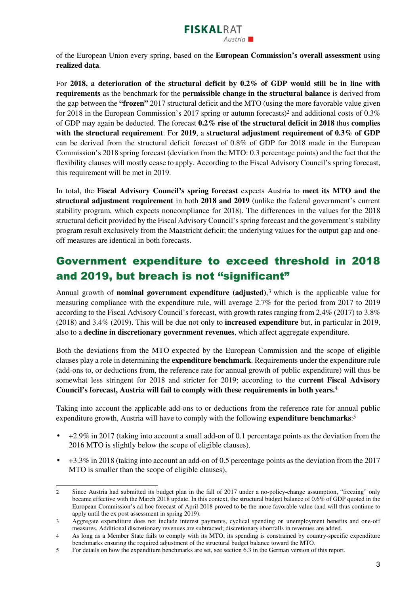

of the European Union every spring, based on the **European Commission's overall assessment** using **realized data**.

For **2018, a deterioration of the structural deficit by 0.2% of GDP would still be in line with requirements** as the benchmark for the **permissible change in the structural balance** is derived from the gap between the **"frozen"** 2017 structural deficit and the MTO (using the more favorable value given for 2018 in the European Commission's 2017 spring or autumn forecasts)<sup>2</sup> and additional costs of 0.3% of GDP may again be deducted. The forecast **0.2% rise of the structural deficit in 2018** thus **complies with the structural requirement**. For **2019**, a **structural adjustment requirement of 0.3% of GDP** can be derived from the structural deficit forecast of 0.8% of GDP for 2018 made in the European Commission's 2018 spring forecast (deviation from the MTO: 0.3 percentage points) and the fact that the flexibility clauses will mostly cease to apply. According to the Fiscal Advisory Council's spring forecast, this requirement will be met in 2019.

In total, the **Fiscal Advisory Council's spring forecast** expects Austria to **meet its MTO and the structural adjustment requirement** in both **2018 and 2019** (unlike the federal government's current stability program, which expects noncompliance for 2018). The differences in the values for the 2018 structural deficit provided by the Fiscal Advisory Council's spring forecast and the government's stability program result exclusively from the Maastricht deficit; the underlying values for the output gap and oneoff measures are identical in both forecasts.

## Government expenditure to exceed threshold in 2018 and 2019, but breach is not "significant"

Annual growth of **nominal government expenditure (adjusted)**, <sup>3</sup> which is the applicable value for measuring compliance with the expenditure rule, will average 2.7% for the period from 2017 to 2019 according to the Fiscal Advisory Council's forecast, with growth rates ranging from 2.4% (2017) to 3.8% (2018) and 3.4% (2019). This will be due not only to **increased expenditure** but, in particular in 2019, also to a **decline in discretionary government revenues**, which affect aggregate expenditure.

Both the deviations from the MTO expected by the European Commission and the scope of eligible clauses play a role in determining the **expenditure benchmark**. Requirements under the expenditure rule (add-ons to, or deductions from, the reference rate for annual growth of public expenditure) will thus be somewhat less stringent for 2018 and stricter for 2019; according to the **current Fiscal Advisory Council's forecast, Austria will fail to comply with these requirements in both years.**<sup>4</sup>

Taking into account the applicable add-ons to or deductions from the reference rate for annual public expenditure growth, Austria will have to comply with the following **expenditure benchmarks**: 5

- $\bullet$  +2.9% in 2017 (taking into account a small add-on of 0.1 percentage points as the deviation from the 2016 MTO is slightly below the scope of eligible clauses),
- $\bullet$  +3.3% in 2018 (taking into account an add-on of 0.5 percentage points as the deviation from the 2017 MTO is smaller than the scope of eligible clauses),

<sup>2</sup> Since Austria had submitted its budget plan in the fall of 2017 under a no-policy-change assumption, "freezing" only became effective with the March 2018 update. In this context, the structural budget balance of 0.6% of GDP quoted in the European Commission's ad hoc forecast of April 2018 proved to be the more favorable value (and will thus continue to apply until the ex post assessment in spring 2019).

<sup>3</sup> Aggregate expenditure does not include interest payments, cyclical spending on unemployment benefits and one-off measures. Additional discretionary revenues are subtracted; discretionary shortfalls in revenues are added.

<sup>4</sup> As long as a Member State fails to comply with its MTO, its spending is constrained by country-specific expenditure benchmarks ensuring the required adjustment of the structural budget balance toward the MTO.

<sup>5</sup> For details on how the expenditure benchmarks are set, see section 6.3 in the German version of this report.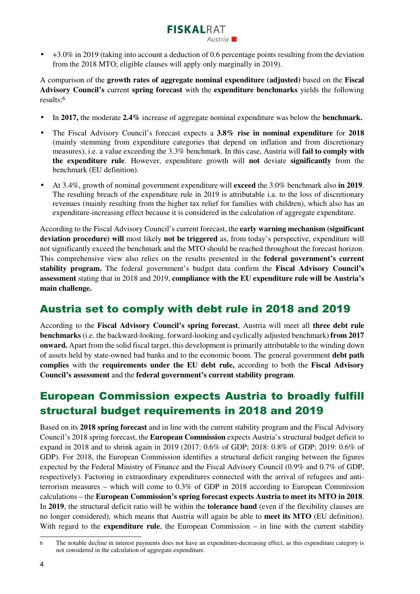#### • +3.0% in 2019 (taking into account a deduction of 0.6 percentage points resulting from the deviation from the 2018 MTO; eligible clauses will apply only marginally in 2019).

Austria L

**FISKALRAT** 

A comparison of the **growth rates of aggregate nominal expenditure (adjusted)** based on the **Fiscal Advisory Council's** current **spring forecast** with the **expenditure benchmarks** yields the following results:<sup>6</sup>

- In **2017,** the moderate **2.4%** increase of aggregate nominal expenditure was below the **benchmark.**
- The Fiscal Advisory Council's forecast expects a **3.8% rise in nominal expenditure** for **2018**  (mainly stemming from expenditure categories that depend on inflation and from discretionary measures), i.e. a value exceeding the 3.3% benchmark. In this case, Austria will **fail to comply with the expenditure rule**. However, expenditure growth will **not** deviate **significantly** from the benchmark (EU definition).
- At 3.4%, growth of nominal government expenditure will **exceed** the 3.0% benchmark also **in 2019**. The resulting breach of the expenditure rule in 2019 is attributable i.a. to the loss of discretionary revenues (mainly resulting from the higher tax relief for families with children), which also has an expenditure-increasing effect because it is considered in the calculation of aggregate expenditure.

According to the Fiscal Advisory Council's current forecast, the **early warning mechanism (significant deviation procedure) will** most likely **not be triggered** as, from today's perspective, expenditure will not significantly exceed the benchmark and the MTO should be reached throughout the forecast horizon. This comprehensive view also relies on the results presented in the **federal government's current stability program.** The federal government's budget data confirm the **Fiscal Advisory Council's assessment** stating that in 2018 and 2019, **compliance with the EU expenditure rule will be Austria's main challenge.**

#### Austria set to comply with debt rule in 2018 and 2019

According to the **Fiscal Advisory Council's spring forecast**, Austria will meet all **three debt rule benchmarks** (i.e. the backward-looking, forward-looking and cyclically adjusted benchmark) **from 2017 onward.** Apart from the solid fiscal target, this development is primarily attributable to the winding down of assets held by state-owned bad banks and to the economic boom. The general government **debt path complies** with the **requirements under the EU debt rule,** according to both the **Fiscal Advisory Council's assessment** and the **federal government's current stability program**.

### European Commission expects Austria to broadly fulfill structural budget requirements in 2018 and 2019

Based on its **2018 spring forecast** and in line with the current stability program and the Fiscal Advisory Council's 2018 spring forecast, the **European Commission** expects Austria's structural budget deficit to expand in 2018 and to shrink again in 2019 (2017: 0.6% of GDP; 2018: 0.8% of GDP; 2019: 0.6% of GDP). For 2018, the European Commission identifies a structural deficit ranging between the figures expected by the Federal Ministry of Finance and the Fiscal Advisory Council (0.9% and 0.7% of GDP, respectively). Factoring in extraordinary expenditures connected with the arrival of refugees and antiterrorism measures – which will come to 0.3% of GDP in 2018 according to European Commission calculations – the **European Commission's spring forecast expects Austria to meet its MTO in 2018**. In **2019**, the structural deficit ratio will be within the **tolerance band** (even if the flexibility clauses are no longer considered), which means that Austria will again be able to **meet its MTO** (EU definition). With regard to the **expenditure rule**, the European Commission – in line with the current stability

<sup>6</sup> The notable decline in interest payments does not have an expenditure-decreasing effect, as this expenditure category is not considered in the calculation of aggregate expenditure.